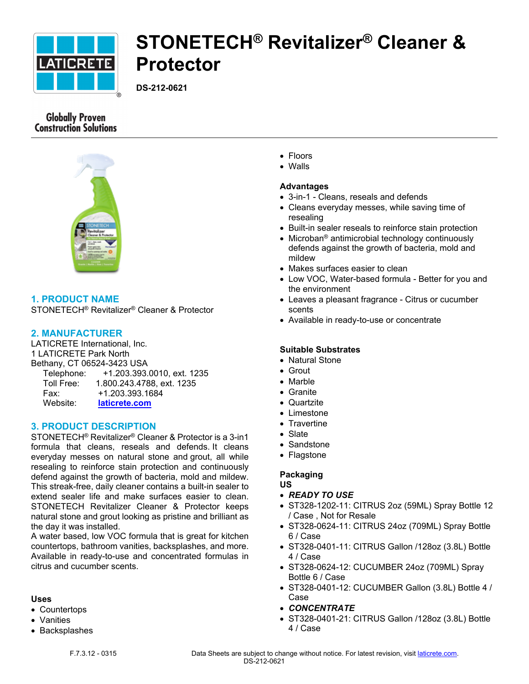

# **STONETECH® Revitalizer® Cleaner & Protector**

**DS-212-0621**

# **Globally Proven Construction Solutions**



# **1. PRODUCT NAME**

STONETECH® Revitalizer® Cleaner & Protector

## **2. MANUFACTURER**

LATICRETE International, Inc. 1 LATICRETE Park North Bethany, CT 06524-3423 USA Telephone: +1.203.393.0010, ext. 1235 Toll Free: 1.800.243.4788, ext. 1235 Fax: +1.203.393.1684 Website: **[laticrete.com](https://laticrete.com/)**

#### **3. PRODUCT DESCRIPTION**

STONETECH® Revitalizer® Cleaner & Protector is a 3-in1 formula that cleans, reseals and defends. It cleans everyday messes on natural stone and grout, all while resealing to reinforce stain protection and continuously defend against the growth of bacteria, mold and mildew. This streak-free, daily cleaner contains a built-in sealer to extend sealer life and make surfaces easier to clean. STONETECH Revitalizer Cleaner & Protector keeps natural stone and grout looking as pristine and brilliant as the day it was installed.

A water based, low VOC formula that is great for kitchen countertops, bathroom vanities, backsplashes, and more. Available in ready-to-use and concentrated formulas in citrus and cucumber scents.

#### **Uses**

- Countertops
- Vanities
- Backsplashes
- Floors
- Walls

#### **Advantages**

- 3-in-1 Cleans, reseals and defends
- Cleans everyday messes, while saving time of resealing
- Built-in sealer reseals to reinforce stain protection
- Microban® antimicrobial technology continuously defends against the growth of bacteria, mold and mildew
- Makes surfaces easier to clean
- Low VOC, Water-based formula Better for you and the environment
- Leaves a pleasant fragrance Citrus or cucumber scents
- Available in ready-to-use or concentrate

#### **Suitable Substrates**

- Natural Stone
- Grout
- Marble
- Granite
- Quartzite
- Limestone
- Travertine
- Slate
- Sandstone
- Flagstone

#### **Packaging**

- **US**
- *READY TO USE*
- ST328-1202-11: CITRUS 2oz (59ML) Spray Bottle 12 / Case , Not for Resale
- ST328-0624-11: CITRUS 24oz (709ML) Spray Bottle 6 / Case
- ST328-0401-11: CITRUS Gallon /128oz (3.8L) Bottle 4 / Case
- ST328-0624-12: CUCUMBER 24oz (709ML) Spray Bottle 6 / Case
- ST328-0401-12: CUCUMBER Gallon (3.8L) Bottle 4 / Case
- *CONCENTRATE*
- ST328-0401-21: CITRUS Gallon /128oz (3.8L) Bottle 4 / Case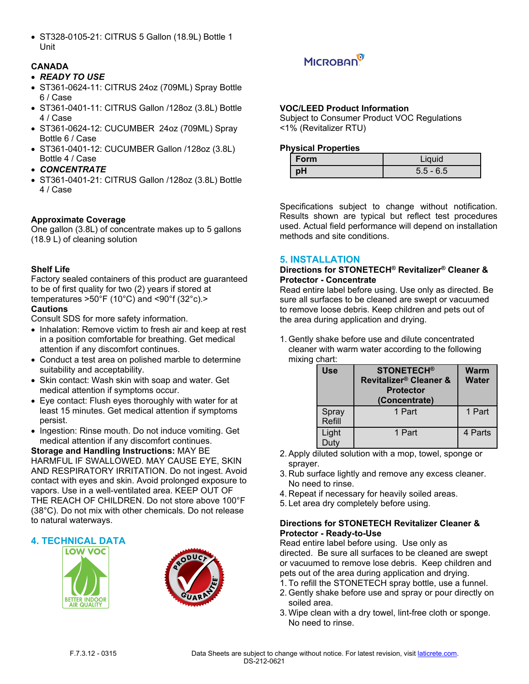ST328-0105-21: CITRUS 5 Gallon (18.9L) Bottle 1 Unit

### **CANADA**

#### *READY TO USE*

- ST361-0624-11: CITRUS 24oz (709ML) Spray Bottle 6 / Case
- ST361-0401-11: CITRUS Gallon /128oz (3.8L) Bottle 4 / Case
- ST361-0624-12: CUCUMBER 24oz (709ML) Spray Bottle 6 / Case
- ST361-0401-12: CUCUMBER Gallon /128oz (3.8L) Bottle 4 / Case
- *CONCENTRATE*
- ST361-0401-21: CITRUS Gallon /128oz (3.8L) Bottle 4 / Case

### **Approximate Coverage**

One gallon (3.8L) of concentrate makes up to 5 gallons (18.9 L) of cleaning solution

#### **Shelf Life**

Factory sealed containers of this product are guaranteed to be of first quality for two (2) years if stored at temperatures >50°F (10°C) and <90°f (32°c).> **Cautions**

Consult SDS for more safety information.

- Inhalation: Remove victim to fresh air and keep at rest in a position comfortable for breathing. Get medical attention if any discomfort continues.
- Conduct a test area on polished marble to determine suitability and acceptability.
- Skin contact: Wash skin with soap and water. Get medical attention if symptoms occur.
- Eye contact: Flush eyes thoroughly with water for at least 15 minutes. Get medical attention if symptoms persist.
- Ingestion: Rinse mouth. Do not induce vomiting. Get medical attention if any discomfort continues.

**Storage and Handling Instructions:** MAY BE HARMFUL IF SWALLOWED. MAY CAUSE EYE, SKIN AND RESPIRATORY IRRITATION. Do not ingest. Avoid contact with eyes and skin. Avoid prolonged exposure to vapors. Use in a well-ventilated area. KEEP OUT OF THE REACH OF CHILDREN. Do not store above 100°F (38°C). Do not mix with other chemicals. Do not release to natural waterways.

#### **4. TECHNICAL DATA**







#### **VOC/LEED Product Information**

Subject to Consumer Product VOC Regulations <1% (Revitalizer RTU)

#### **Physical Properties**

| Form | Liquid      |
|------|-------------|
| рH   | $5.5 - 6.5$ |

Specifications subject to change without notification. Results shown are typical but reflect test procedures used. Actual field performance will depend on installation methods and site conditions.

#### **5. INSTALLATION**

#### **Directions for STONETECH® Revitalizer® Cleaner & Protector - Concentrate**

Read entire label before using. Use only as directed. Be sure all surfaces to be cleaned are swept or vacuumed to remove loose debris. Keep children and pets out of the area during application and drying.

1. Gently shake before use and dilute concentrated cleaner with warm water according to the following mixing chart:

| <b>Use</b>      | <b>STONETECH®</b><br>Revitalizer® Cleaner &<br><b>Protector</b><br>(Concentrate) | Warm<br><b>Water</b> |
|-----------------|----------------------------------------------------------------------------------|----------------------|
| Spray<br>Refill | 1 Part                                                                           | 1 Part               |
| Light<br>Duty   | 1 Part                                                                           | 4 Parts              |

- 2. Apply diluted solution with a mop, towel, sponge or sprayer.
- 3. Rub surface lightly and remove any excess cleaner. No need to rinse.
- 4. Repeat if necessary for heavily soiled areas.
- 5. Let area dry completely before using.

#### **Directions for STONETECH Revitalizer Cleaner & Protector - Ready-to-Use**

Read entire label before using. Use only as directed. Be sure all surfaces to be cleaned are swept or vacuumed to remove lose debris. Keep children and pets out of the area during application and drying.

- 1. To refill the STONETECH spray bottle, use a funnel.
- 2. Gently shake before use and spray or pour directly on soiled area.
- 3. Wipe clean with a dry towel, lint-free cloth or sponge. No need to rinse.